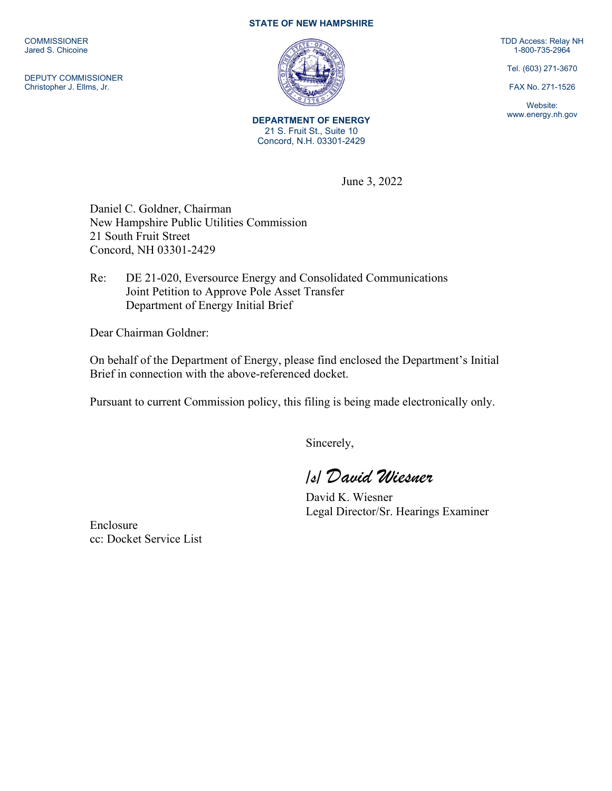**COMMISSIONER** Jared S. Chicoine

DEPUTY COMMISSIONER Christopher J. Ellms, Jr.

## **STATE OF NEW HAMPSHIRE**



**DEPARTMENT OF ENERGY** 21 S. Fruit St., Suite 10 Concord, N.H. 03301-2429

TDD Access: Relay NH 1-800-735-2964

Tel. (603) 271-3670

FAX No. 271-1526

Website: www.energy.nh.gov

June 3, 2022

Daniel C. Goldner, Chairman New Hampshire Public Utilities Commission 21 South Fruit Street Concord, NH 03301-2429

Re: DE 21-020, Eversource Energy and Consolidated Communications Joint Petition to Approve Pole Asset Transfer Department of Energy Initial Brief

Dear Chairman Goldner:

On behalf of the Department of Energy, please find enclosed the Department's Initial Brief in connection with the above-referenced docket.

Pursuant to current Commission policy, this filing is being made electronically only.

Sincerely,

*/s/ David Wiesner*

David K. Wiesner Legal Director/Sr. Hearings Examiner

Enclosure cc: Docket Service List